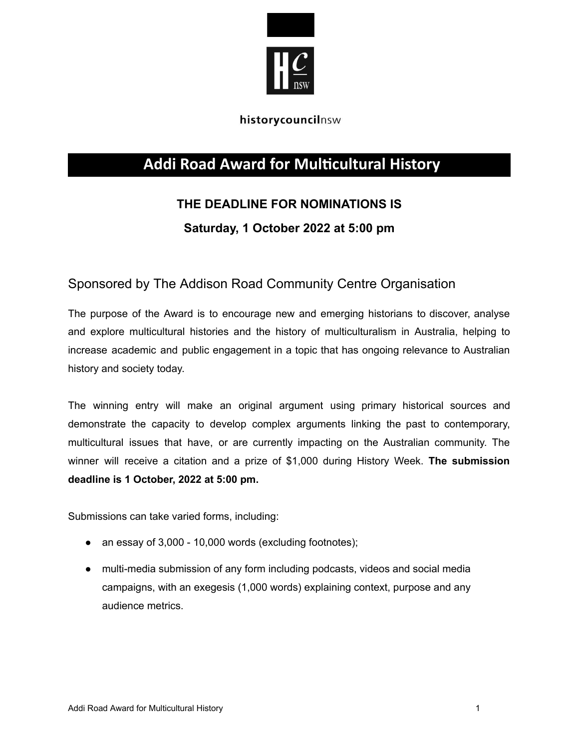

### historycouncilnsw

## **Addi Road Award for Multicultural History**

# **THE DEADLINE FOR NOMINATIONS IS**

## **Saturday, 1 October 2022 at 5:00 pm**

## Sponsored by The Addison Road Community Centre Organisation

The purpose of the Award is to encourage new and emerging historians to discover, analyse and explore multicultural histories and the history of multiculturalism in Australia, helping to increase academic and public engagement in a topic that has ongoing relevance to Australian history and society today.

The winning entry will make an original argument using primary historical sources and demonstrate the capacity to develop complex arguments linking the past to contemporary, multicultural issues that have, or are currently impacting on the Australian community. The winner will receive a citation and a prize of \$1,000 during History Week. **The submission deadline is 1 October, 2022 at 5:00 pm.**

Submissions can take varied forms, including:

- an essay of 3,000 10,000 words (excluding footnotes);
- multi-media submission of any form including podcasts, videos and social media campaigns, with an exegesis (1,000 words) explaining context, purpose and any audience metrics.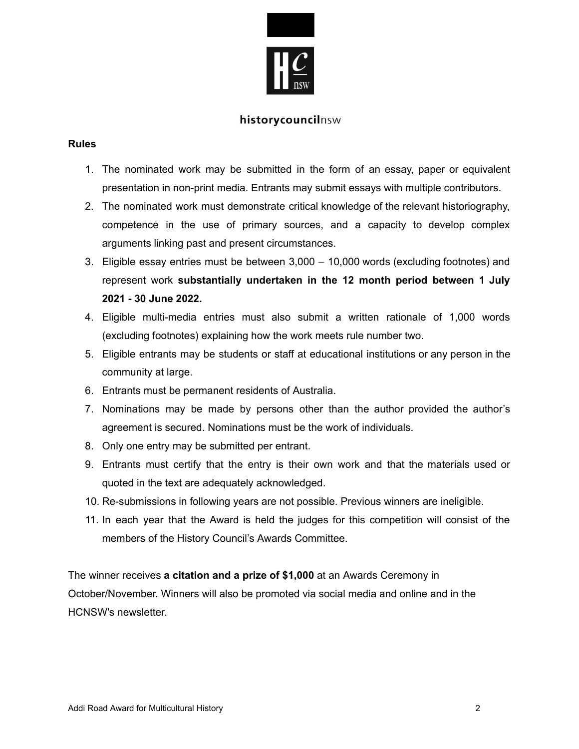

### historycouncilnsw

#### **Rules**

- 1. The nominated work may be submitted in the form of an essay, paper or equivalent presentation in non-print media. Entrants may submit essays with multiple contributors.
- 2. The nominated work must demonstrate critical knowledge of the relevant historiography, competence in the use of primary sources, and a capacity to develop complex arguments linking past and present circumstances.
- 3. Eligible essay entries must be between 3,000 10,000 words (excluding footnotes) and represent work **substantially undertaken in the 12 month period between 1 July 2021 - 30 June 2022.**
- 4. Eligible multi-media entries must also submit a written rationale of 1,000 words (excluding footnotes) explaining how the work meets rule number two.
- 5. Eligible entrants may be students or staff at educational institutions or any person in the community at large.
- 6. Entrants must be permanent residents of Australia.
- 7. Nominations may be made by persons other than the author provided the author's agreement is secured. Nominations must be the work of individuals.
- 8. Only one entry may be submitted per entrant.
- 9. Entrants must certify that the entry is their own work and that the materials used or quoted in the text are adequately acknowledged.
- 10. Re-submissions in following years are not possible. Previous winners are ineligible.
- 11. In each year that the Award is held the judges for this competition will consist of the members of the History Council's Awards Committee.

The winner receives **a citation and a prize of \$1,000** at an Awards Ceremony in October/November. Winners will also be promoted via social media and online and in the HCNSW's newsletter.